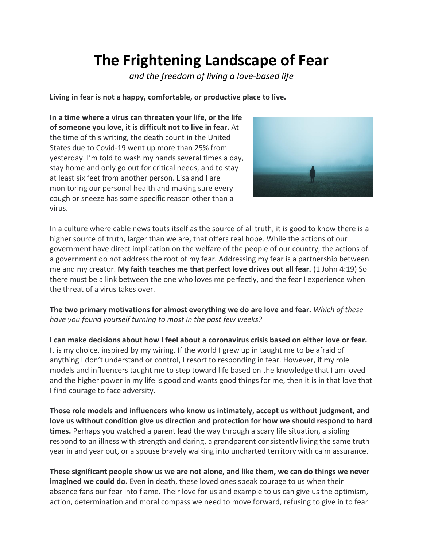## **The Frightening Landscape of Fear**

*and the freedom of living a love-based life*

**Living in fear is not a happy, comfortable, or productive place to live.**

**In a time where a virus can threaten your life, or the life of someone you love, it is difficult not to live in fear.** At the time of this writing, the death count in the United States due to Covid-19 went up more than 25% from yesterday. I'm told to wash my hands several times a day, stay home and only go out for critical needs, and to stay at least six feet from another person. Lisa and I are monitoring our personal health and making sure every cough or sneeze has some specific reason other than a virus.



In a culture where cable news touts itself as the source of all truth, it is good to know there is a higher source of truth, larger than we are, that offers real hope. While the actions of our government have direct implication on the welfare of the people of our country, the actions of a government do not address the root of my fear. Addressing my fear is a partnership between me and my creator. **My faith teaches me that perfect love drives out all fear.** (1 John 4:19) So there must be a link between the one who loves me perfectly, and the fear I experience when the threat of a virus takes over.

**The two primary motivations for almost everything we do are love and fear.** *Which of these have you found yourself turning to most in the past few weeks?*

**I can make decisions about how I feel about a coronavirus crisis based on either love or fear.** It is my choice, inspired by my wiring. If the world I grew up in taught me to be afraid of anything I don't understand or control, I resort to responding in fear. However, if my role models and influencers taught me to step toward life based on the knowledge that I am loved and the higher power in my life is good and wants good things for me, then it is in that love that I find courage to face adversity.

**Those role models and influencers who know us intimately, accept us without judgment, and love us without condition give us direction and protection for how we should respond to hard times.** Perhaps you watched a parent lead the way through a scary life situation, a sibling respond to an illness with strength and daring, a grandparent consistently living the same truth year in and year out, or a spouse bravely walking into uncharted territory with calm assurance.

**These significant people show us we are not alone, and like them, we can do things we never imagined we could do.** Even in death, these loved ones speak courage to us when their absence fans our fear into flame. Their love for us and example to us can give us the optimism, action, determination and moral compass we need to move forward, refusing to give in to fear